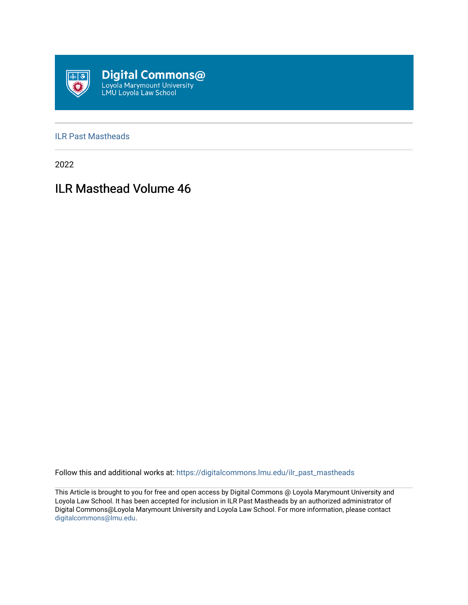

#### [ILR Past Mastheads](https://digitalcommons.lmu.edu/ilr_past_mastheads)

2022

# ILR Masthead Volume 46

Follow this and additional works at: [https://digitalcommons.lmu.edu/ilr\\_past\\_mastheads](https://digitalcommons.lmu.edu/ilr_past_mastheads?utm_source=digitalcommons.lmu.edu%2Filr_past_mastheads%2F70&utm_medium=PDF&utm_campaign=PDFCoverPages)

This Article is brought to you for free and open access by Digital Commons @ Loyola Marymount University and Loyola Law School. It has been accepted for inclusion in ILR Past Mastheads by an authorized administrator of Digital Commons@Loyola Marymount University and Loyola Law School. For more information, please contact [digitalcommons@lmu.edu](mailto:digitalcommons@lmu.edu).